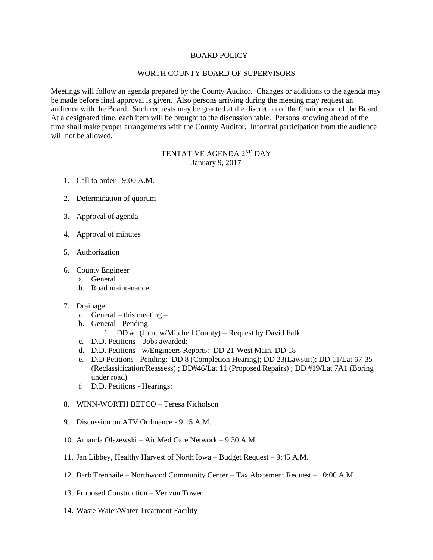## BOARD POLICY

## WORTH COUNTY BOARD OF SUPERVISORS

Meetings will follow an agenda prepared by the County Auditor. Changes or additions to the agenda may be made before final approval is given. Also persons arriving during the meeting may request an audience with the Board. Such requests may be granted at the discretion of the Chairperson of the Board. At a designated time, each item will be brought to the discussion table. Persons knowing ahead of the time shall make proper arrangements with the County Auditor. Informal participation from the audience will not be allowed.

## TENTATIVE AGENDA 2<sup>ND</sup> DAY January 9, 2017

- 1. Call to order 9:00 A.M.
- 2. Determination of quorum
- 3. Approval of agenda
- 4. Approval of minutes
- 5. Authorization
- 6. County Engineer
	- a. General
	- b. Road maintenance
- 7. Drainage
	- a. General this meeting –
	- b. General Pending
		- 1. DD  $\#$  (Joint w/Mitchell County) Request by David Falk
	- c. D.D. Petitions Jobs awarded:
	- d. D.D. Petitions w/Engineers Reports: DD 21-West Main, DD 18
	- e. D.D Petitions Pending: DD 8 (Completion Hearing); DD 23(Lawsuit); DD 11/Lat 67-35 (Reclassification/Reassess) ; DD#46/Lat 11 (Proposed Repairs) ; DD #19/Lat 7A1 (Boring under road)
	- f. D.D. Petitions Hearings:
- 8. WINN-WORTH BETCO Teresa Nicholson
- 9. Discussion on ATV Ordinance 9:15 A.M.
- 10. Amanda Olszewski Air Med Care Network 9:30 A.M.
- 11. Jan Libbey, Healthy Harvest of North Iowa Budget Request 9:45 A.M.
- 12. Barb Trenhaile Northwood Community Center Tax Abatement Request 10:00 A.M.
- 13. Proposed Construction Verizon Tower
- 14. Waste Water/Water Treatment Facility